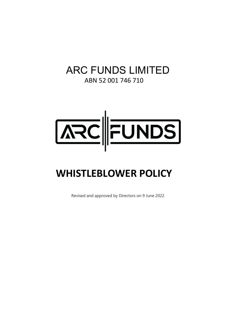# ARC FUNDS LIMITED

ABN 52 001 746 710



# **WHISTLEBLOWER POLICY**

Revised and approved by Directors on 9 June 2022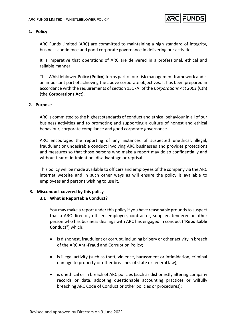

# **1. Policy**

ARC Funds Limited (ARC) are committed to maintaining a high standard of integrity, business confidence and good corporate governance in delivering our activities.

It is imperative that operations of ARC are delivered in a professional, ethical and reliable manner.

This Whistleblower Policy (**Policy**) forms part of our risk management framework and is an important part of achieving the above corporate objectives. It has been prepared in accordance with the requirements of section 1317AI of the *Corporations Act 2001* (Cth) (the **Corporations Act**).

# **2. Purpose**

ARC is committed to the highest standards of conduct and ethical behaviour in all of our business activities and to promoting and supporting a culture of honest and ethical behaviour, corporate compliance and good corporate governance.

ARC encourages the reporting of any instances of suspected unethical, illegal, fraudulent or undesirable conduct involving ARC businesses and provides protections and measures so that those persons who make a report may do so confidentially and without fear of intimidation, disadvantage or reprisal.

This policy will be made available to officers and employees of the company via the ARC internet website and in such other ways as will ensure the policy is available to employees and persons wishing to use it.

# **3. Misconduct covered by this policy**

# **3.1 What is Reportable Conduct?**

You may make a report under this policy if you have reasonable grounds to suspect that a ARC director, officer, employee, contractor, supplier, tenderer or other person who has business dealings with ARC has engaged in conduct ("**Reportable Conduct**") which:

- is dishonest, fraudulent or corrupt, including bribery or other activity in breach of the ARC Anti-Fraud and Corruption Policy;
- is illegal activity (such as theft, violence, harassment or intimidation, criminal damage to property or other breaches of state or federal law);
- is unethical or in breach of ARC policies (such as dishonestly altering company records or data, adopting questionable accounting practices or wilfully breaching ARC Code of Conduct or other policies or procedures);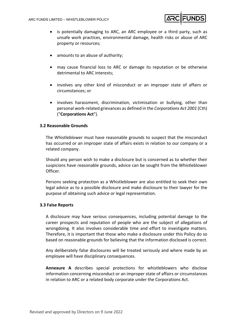

- is potentially damaging to ARC, an ARC employee or a third party, such as unsafe work practices, environmental damage, health risks or abuse of ARC property or resources;
- amounts to an abuse of authority;
- may cause financial loss to ARC or damage its reputation or be otherwise detrimental to ARC interests;
- involves any other kind of misconduct or an improper state of affairs or circumstances; or
- involves harassment, discrimination, victimisation or bullying, other than personal work-related grievances as defined in the *Corporations Act 2001* (Cth) ("**Corporations Act**").

# **3.2 Reasonable Grounds**

The Whistleblower must have reasonable grounds to suspect that the misconduct has occurred or an improper state of affairs exists in relation to our company or a related company.

Should any person wish to make a disclosure but is concerned as to whether their suspicions have reasonable grounds, advice can be sought from the Whistleblower Officer.

Persons seeking protection as a Whistleblower are also entitled to seek their own legal advice as to a possible disclosure and make disclosure to their lawyer for the purpose of obtaining such advice or legal representation.

#### **3.3 False Reports**

A disclosure may have serious consequences, including potential damage to the career prospects and reputation of people who are the subject of allegations of wrongdoing. It also involves considerable time and effort to investigate matters. Therefore, it is important that those who make a disclosure under this Policy do so based on reasonable grounds for believing that the information disclosed is correct.

Any deliberately false disclosures will be treated seriously and where made by an employee will have disciplinary consequences.

**Annexure A** describes special protections for whistleblowers who disclose information concerning misconduct or an improper state of affairs or circumstances in relation to ARC or a related body corporate under the Corporations Act.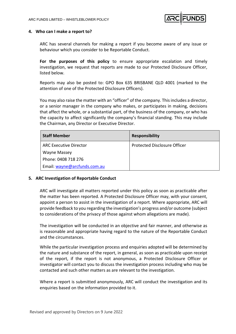

#### **4. Who can I make a report to?**

ARC has several channels for making a report if you become aware of any issue or behaviour which you consider to be Reportable Conduct.

**For the purposes of this policy** to ensure appropriate escalation and timely investigation, we request that reports are made to our Protected Disclosure Officer, listed below.

Reports may also be posted to: GPO Box 635 BRISBANE QLD 4001 (marked to the attention of one of the Protected Disclosure Officers).

You may also raise the matter with an "officer" of the company. This includes a director, or a senior manager in the company who makes, or participates in making, decisions that affect the whole, or a substantial part, of the business of the company, or who has the capacity to affect significantly the company's financial standing. This may include the Chairman, any Director or Executive Director.

| <b>Staff Member</b>           | <b>Responsibility</b>               |
|-------------------------------|-------------------------------------|
| <b>ARC Executive Director</b> | <b>Protected Disclosure Officer</b> |
| <b>Wayne Massey</b>           |                                     |
| Phone: 0408 718 276           |                                     |
| Email: wayne@arcfunds.com.au  |                                     |

#### **5. ARC Investigation of Reportable Conduct**

ARC will investigate all matters reported under this policy as soon as practicable after the matter has been reported. A Protected Disclosure Officer may, with your consent, appoint a person to assist in the investigation of a report. Where appropriate, ARC will provide feedback to you regarding the investigation's progress and/or outcome (subject to considerations of the privacy of those against whom allegations are made).

The investigation will be conducted in an objective and fair manner, and otherwise as is reasonable and appropriate having regard to the nature of the Reportable Conduct and the circumstances.

While the particular investigation process and enquiries adopted will be determined by the nature and substance of the report, in general, as soon as practicable upon receipt of the report, if the report is not anonymous, a Protected Disclosure Officer or investigator will contact you to discuss the investigation process including who may be contacted and such other matters as are relevant to the investigation.

Where a report is submitted anonymously, ARC will conduct the investigation and its enquiries based on the information provided to it.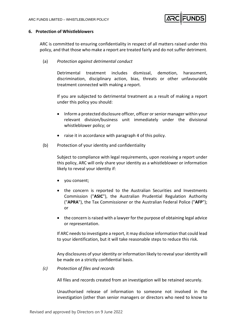

#### **6. Protection of Whistleblowers**

ARC is committed to ensuring confidentiality in respect of all matters raised under this policy, and that those who make a report are treated fairly and do not suffer detriment.

(a) *Protection against detrimental conduct* 

Detrimental treatment includes dismissal, demotion, harassment, discrimination, disciplinary action, bias, threats or other unfavourable treatment connected with making a report.

If you are subjected to detrimental treatment as a result of making a report under this policy you should:

- Inform a protected disclosure officer, officer or senior manager within your relevant division/business unit immediately under the divisional whistleblower policy; or
- raise it in accordance with paragraph 4 of this policy.
- (b) Protection of your identity and confidentiality

Subject to compliance with legal requirements, upon receiving a report under this policy, ARC will only share your identity as a whistleblower or information likely to reveal your identity if:

- you consent;
- the concern is reported to the Australian Securities and Investments Commission ("**ASIC**"), the Australian Prudential Regulation Authority ("**APRA**"), the Tax Commissioner or the Australian Federal Police ("**AFP**"); or
- the concern is raised with a lawyer for the purpose of obtaining legal advice or representation.

If ARC needs to investigate a report, it may disclose information that could lead to your identification, but it will take reasonable steps to reduce this risk.

Any disclosures of your identity or information likely to reveal your identity will be made on a strictly confidential basis.

*(c) Protection of files and records* 

All files and records created from an investigation will be retained securely.

Unauthorised release of information to someone not involved in the investigation (other than senior managers or directors who need to know to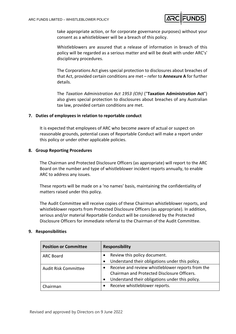

take appropriate action, or for corporate governance purposes) without your consent as a whistleblower will be a breach of this policy.

Whistleblowers are assured that a release of information in breach of this policy will be regarded as a serious matter and will be dealt with under ARC's' disciplinary procedures.

The Corporations Act gives special protection to disclosures about breaches of that Act, provided certain conditions are met – refer to **Annexure A** for further details.

The *Taxation Administration Act 1953 (Cth)* ("**Taxation Administration Act**") also gives special protection to disclosures about breaches of any Australian tax law, provided certain conditions are met.

# **7. Duties of employees in relation to reportable conduct**

It is expected that employees of ARC who become aware of actual or suspect on reasonable grounds, potential cases of Reportable Conduct will make a report under this policy or under other applicable policies.

# **8. Group Reporting Procedures**

The Chairman and Protected Disclosure Officers (as appropriate) will report to the ARC Board on the number and type of whistleblower incident reports annually, to enable ARC to address any issues.

These reports will be made on a 'no names' basis, maintaining the confidentiality of matters raised under this policy.

The Audit Committee will receive copies of these Chairman whistleblower reports, and whistleblower reports from Protected Disclosure Officers (as appropriate). In addition, serious and/or material Reportable Conduct will be considered by the Protected Disclosure Officers for immediate referral to the Chairman of the Audit Committee.

#### **9. Responsibilities**

| <b>Position or Committee</b> | <b>Responsibility</b>                                        |
|------------------------------|--------------------------------------------------------------|
| <b>ARC Board</b>             | Review this policy document.                                 |
|                              | Understand their obligations under this policy.<br>$\bullet$ |
| <b>Audit Risk Committee</b>  | Receive and review whistleblower reports from the            |
|                              | Chairman and Protected Disclosure Officers.                  |
|                              | Understand their obligations under this policy.<br>$\bullet$ |
| Chairman                     | Receive whistleblower reports.<br>$\bullet$                  |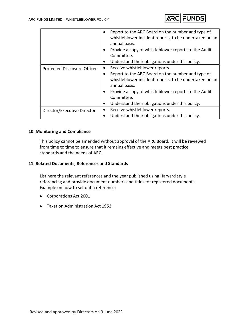

|                              | Report to the ARC Board on the number and type of<br>$\bullet$<br>whistleblower incident reports, to be undertaken on an<br>annual basis.<br>Provide a copy of whistleblower reports to the Audit<br>$\bullet$<br>Committee.<br>Understand their obligations under this policy.<br>$\bullet$                                        |
|------------------------------|-------------------------------------------------------------------------------------------------------------------------------------------------------------------------------------------------------------------------------------------------------------------------------------------------------------------------------------|
| Protected Disclosure Officer | Receive whistleblower reports.<br>$\bullet$<br>Report to the ARC Board on the number and type of<br>٠<br>whistleblower incident reports, to be undertaken on an<br>annual basis.<br>Provide a copy of whistleblower reports to the Audit<br>$\bullet$<br>Committee.<br>Understand their obligations under this policy.<br>$\bullet$ |
| Director/Executive Director  | Receive whistleblower reports.<br>$\bullet$<br>Understand their obligations under this policy.<br>$\bullet$                                                                                                                                                                                                                         |

# **10. Monitoring and Compliance**

This policy cannot be amended without approval of the ARC Board. It will be reviewed from time to time to ensure that it remains effective and meets best practice standards and the needs of ARC.

#### **11. Related Documents, References and Standards**

List here the relevant references and the year published using Harvard style referencing and provide document numbers and titles for registered documents. Example on how to set out a reference:

- Corporations Act 2001
- Taxation Administration Act 1953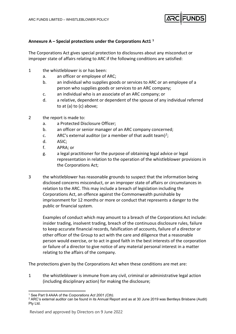

# **Annexure A – Special protections under the Corporations Act1 [1](#page-7-0)**

The Corporations Act gives special protection to disclosures about any misconduct or improper state of affairs relating to ARC if the following conditions are satisfied:

- 1 the whistleblower is or has been:
	- a. an officer or employee of ARC;
	- b. an individual who supplies goods or services to ARC or an employee of a person who supplies goods or services to an ARC company;
	- c. an individual who is an associate of an ARC company; or
	- d. a relative, dependent or dependent of the spouse of any individual referred to at (a) to (c) above;
- 2 the report is made to:
	- a. a Protected Disclosure Officer;
	- b. an officer or senior manager of an ARC company concerned;
	- c. ARC's external auditor (or a member of that audit team)<sup>2</sup>;
	- d. ASIC;
	- f. APRA; or
	- g. a legal practitioner for the purpose of obtaining legal advice or legal representation in relation to the operation of the whistleblower provisions in the Corporations Act;
- 3 the whistleblower has reasonable grounds to suspect that the information being disclosed concerns misconduct, or an improper state of affairs or circumstances in relation to the ARC. This may include a breach of legislation including the Corporations Act, an offence against the Commonwealth punishable by imprisonment for 12 months or more or conduct that represents a danger to the public or financial system.

Examples of conduct which may amount to a breach of the Corporations Act include: insider trading, insolvent trading, breach of the continuous disclosure rules, failure to keep accurate financial records, falsification of accounts, failure of a director or other officer of the Group to act with the care and diligence that a reasonable person would exercise, or to act in good faith in the best interests of the corporation or failure of a director to give notice of any material personal interest in a matter relating to the affairs of the company.

The protections given by the Corporations Act when these conditions are met are:

1 the whistleblower is immune from any civil, criminal or administrative legal action (including disciplinary action) for making the disclosure;

<sup>1</sup> See Part 9.4AAA of the *Corporations Act 2001 (Cth).*

<span id="page-7-1"></span><span id="page-7-0"></span><sup>2</sup> ARC's external auditor can be found in its Annual Report and as at 30 June 2019 was Bentleys Brisbane (Audit) Pty Ltd.